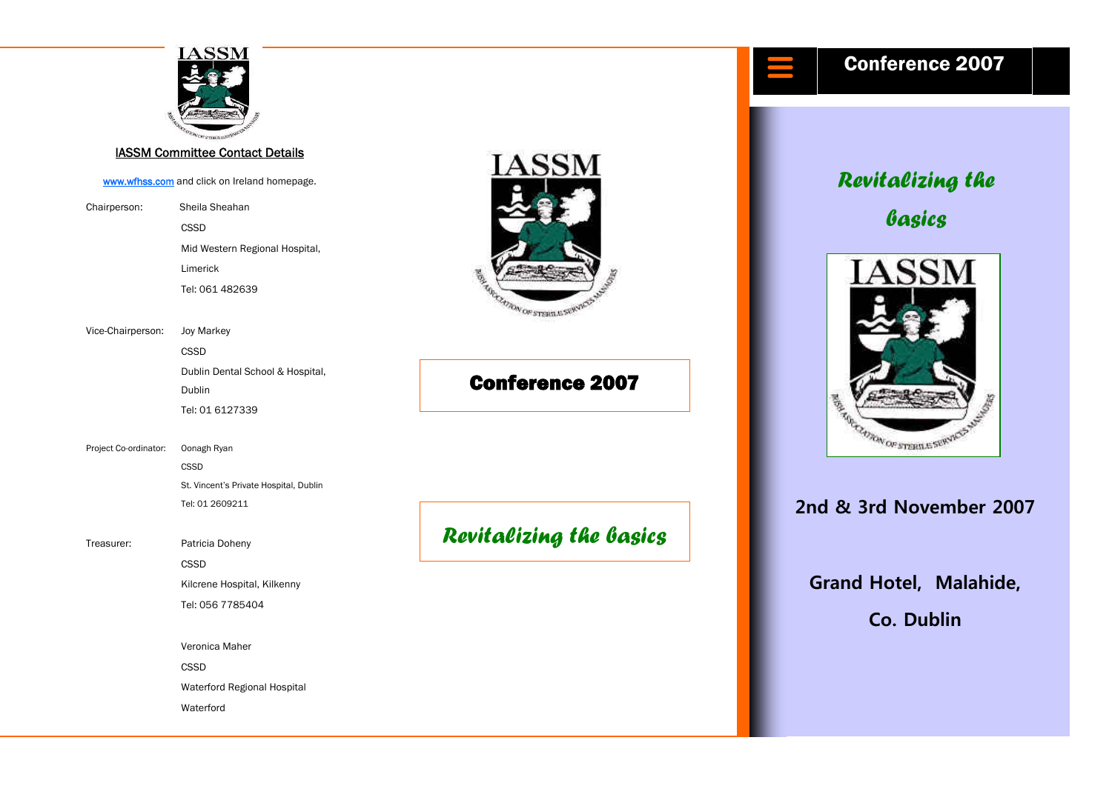

#### IASSM Committee Contact Details

[www.wfhss.com](http://www.wfhss.com/) and click on Ireland homepage.

Chairperson: Sheila Sheahan **CSSD CSSD**  Mid Western Regional Hospital, Limerick Tel: 061 482639

Vice-Chairperson: Joy Markey

**CSSD CSSD**  Dublin Dental School & Hospital, **Dublin** Tel: 01 6127339

Project Co-ordinator: Oonagh Ryan **CSSD**  St. Vincent's Private Hospital, Dublin Tel: 01 2609211

Treasurer: Patricia Doheny

**CSSD CSSD**  Kilcrene Hospital, Kilkenny Tel: 056 7785404

Veronica Maher

**CSSD CSSD** 

 Waterford Regional Hospital **Waterford** 



# Conference 2007

*Revitalizing the basics* 



**2nd & 3rd November 2007** 

**Grand Hotel, Malahide, Co. Dublin**